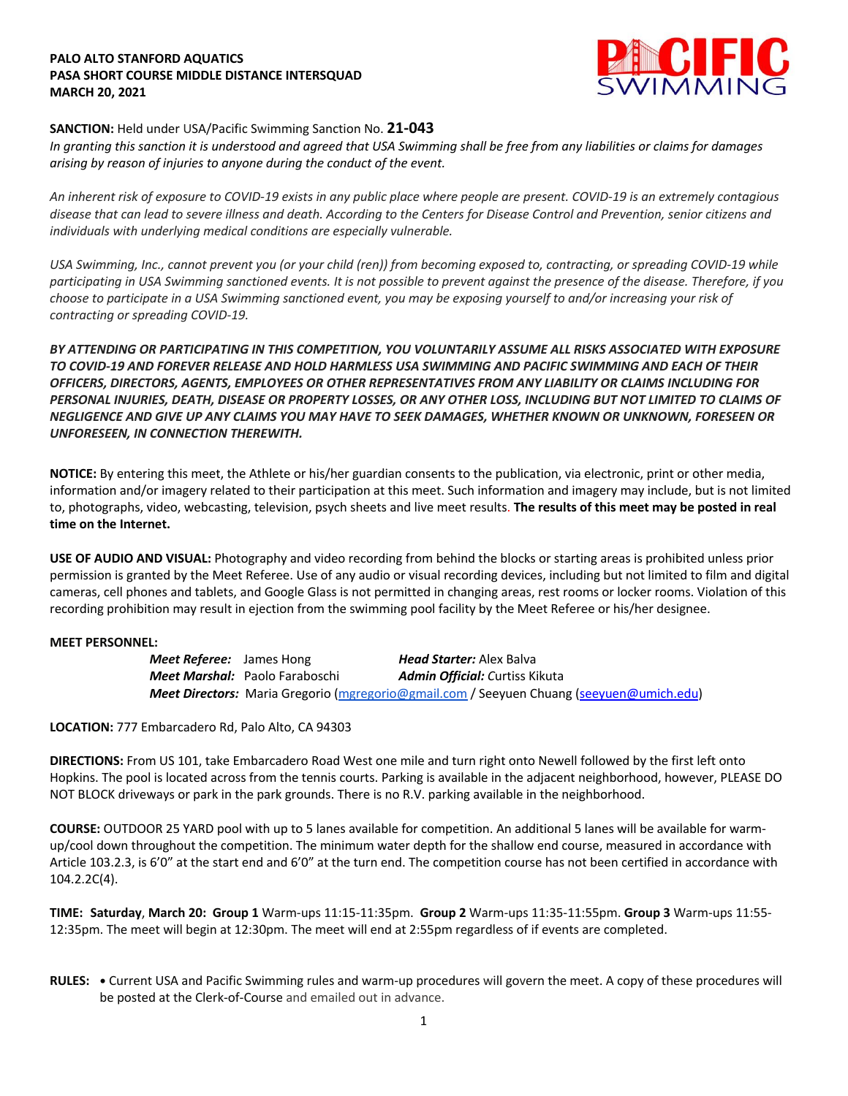## **PALO ALTO STANFORD AQUATICS PASA SHORT COURSE MIDDLE DISTANCE INTERSQUAD MARCH 20, 2021**



# **SANCTION:** Held under USA/Pacific Swimming Sanction No. **21-043**

*In granting this sanction it is understood and agreed that USA Swimming shall be free from any liabilities or claims for damages arising by reason of injuries to anyone during the conduct of the event.* 

*An inherent risk of exposure to COVID-19 exists in any public place where people are present. COVID-19 is an extremely contagious disease that can lead to severe illness and death. According to the Centers for Disease Control and Prevention, senior citizens and individuals with underlying medical conditions are especially vulnerable.*

*USA Swimming, Inc., cannot prevent you (or your child (ren)) from becoming exposed to, contracting, or spreading COVID-19 while participating in USA Swimming sanctioned events. It is not possible to prevent against the presence of the disease. Therefore, if you choose to participate in a USA Swimming sanctioned event, you may be exposing yourself to and/or increasing your risk of contracting or spreading COVID-19.*

*BY ATTENDING OR PARTICIPATING IN THIS COMPETITION, YOU VOLUNTARILY ASSUME ALL RISKS ASSOCIATED WITH EXPOSURE TO COVID-19 AND FOREVER RELEASE AND HOLD HARMLESS USA SWIMMING AND PACIFIC SWIMMING AND EACH OF THEIR OFFICERS, DIRECTORS, AGENTS, EMPLOYEES OR OTHER REPRESENTATIVES FROM ANY LIABILITY OR CLAIMS INCLUDING FOR PERSONAL INJURIES, DEATH, DISEASE OR PROPERTY LOSSES, OR ANY OTHER LOSS, INCLUDING BUT NOT LIMITED TO CLAIMS OF NEGLIGENCE AND GIVE UP ANY CLAIMS YOU MAY HAVE TO SEEK DAMAGES, WHETHER KNOWN OR UNKNOWN, FORESEEN OR UNFORESEEN, IN CONNECTION THEREWITH.*

**NOTICE:** By entering this meet, the Athlete or his/her guardian consents to the publication, via electronic, print or other media, information and/or imagery related to their participation at this meet. Such information and imagery may include, but is not limited to, photographs, video, webcasting, television, psych sheets and live meet results. **The results of this meet may be posted in real time on the Internet.**

**USE OF AUDIO AND VISUAL:** Photography and video recording from behind the blocks or starting areas is prohibited unless prior permission is granted by the Meet Referee. Use of any audio or visual recording devices, including but not limited to film and digital cameras, cell phones and tablets, and Google Glass is not permitted in changing areas, rest rooms or locker rooms. Violation of this recording prohibition may result in ejection from the swimming pool facility by the Meet Referee or his/her designee.

## **MEET PERSONNEL:**

*Meet Referee:* James Hong *Head Starter:* Alex Balva *Meet Marshal:* Paolo Faraboschi *Admin Official: C*urtiss Kikuta *Meet Directors:* Maria Gregorio (mgregorio@gmail.com / Seeyuen Chuang (seeyuen@umich.edu)

**LOCATION:** 777 Embarcadero Rd, Palo Alto, CA 94303

**DIRECTIONS:** From US 101, take Embarcadero Road West one mile and turn right onto Newell followed by the first left onto Hopkins. The pool is located across from the tennis courts. Parking is available in the adjacent neighborhood, however, PLEASE DO NOT BLOCK driveways or park in the park grounds. There is no R.V. parking available in the neighborhood.

**COURSE:** OUTDOOR 25 YARD pool with up to 5 lanes available for competition. An additional 5 lanes will be available for warmup/cool down throughout the competition. The minimum water depth for the shallow end course, measured in accordance with Article 103.2.3, is 6'0" at the start end and 6'0" at the turn end. The competition course has not been certified in accordance with 104.2.2C(4).

**TIME: Saturday**, **March 20: Group 1** Warm-ups 11:15-11:35pm. **Group 2** Warm-ups 11:35-11:55pm. **Group 3** Warm-ups 11:55- 12:35pm. The meet will begin at 12:30pm. The meet will end at 2:55pm regardless of if events are completed.

**RULES: •** Current USA and Pacific Swimming rules and warm-up procedures will govern the meet. A copy of these procedures will be posted at the Clerk-of-Course and emailed out in advance.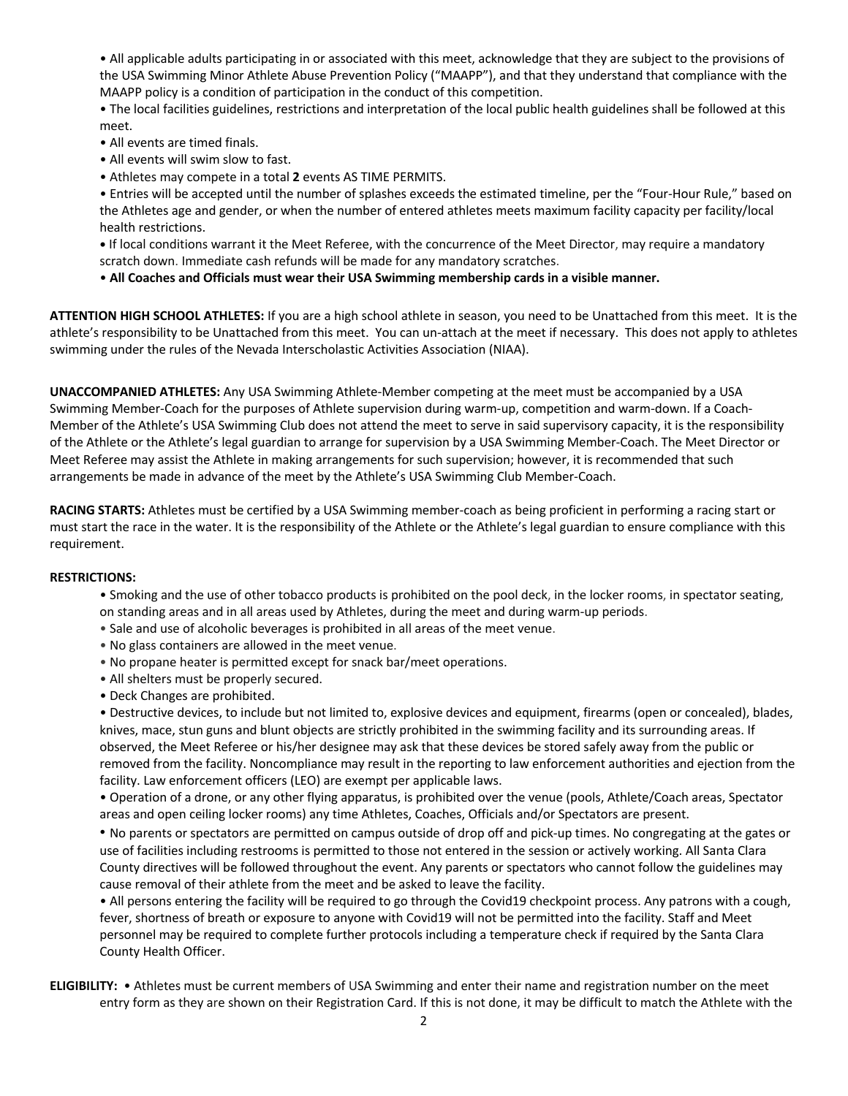• All applicable adults participating in or associated with this meet, acknowledge that they are subject to the provisions of the USA Swimming Minor Athlete Abuse Prevention Policy ("MAAPP"), and that they understand that compliance with the MAAPP policy is a condition of participation in the conduct of this competition.

• The local facilities guidelines, restrictions and interpretation of the local public health guidelines shall be followed at this meet.

- All events are timed finals.
- All events will swim slow to fast.
- Athletes may compete in a total **2** events AS TIME PERMITS.

• Entries will be accepted until the number of splashes exceeds the estimated timeline, per the "Four-Hour Rule," based on the Athletes age and gender, or when the number of entered athletes meets maximum facility capacity per facility/local health restrictions.

**•** If local conditions warrant it the Meet Referee, with the concurrence of the Meet Director, may require a mandatory scratch down. Immediate cash refunds will be made for any mandatory scratches.

• **All Coaches and Officials must wear their USA Swimming membership cards in a visible manner.** 

**ATTENTION HIGH SCHOOL ATHLETES:** If you are a high school athlete in season, you need to be Unattached from this meet. It is the athlete's responsibility to be Unattached from this meet. You can un-attach at the meet if necessary. This does not apply to athletes swimming under the rules of the Nevada Interscholastic Activities Association (NIAA).

**UNACCOMPANIED ATHLETES:** Any USA Swimming Athlete-Member competing at the meet must be accompanied by a USA Swimming Member-Coach for the purposes of Athlete supervision during warm-up, competition and warm-down. If a Coach-Member of the Athlete's USA Swimming Club does not attend the meet to serve in said supervisory capacity, it is the responsibility of the Athlete or the Athlete's legal guardian to arrange for supervision by a USA Swimming Member-Coach. The Meet Director or Meet Referee may assist the Athlete in making arrangements for such supervision; however, it is recommended that such arrangements be made in advance of the meet by the Athlete's USA Swimming Club Member-Coach.

**RACING STARTS:** Athletes must be certified by a USA Swimming member-coach as being proficient in performing a racing start or must start the race in the water. It is the responsibility of the Athlete or the Athlete's legal guardian to ensure compliance with this requirement.

### **RESTRICTIONS:**

• Smoking and the use of other tobacco products is prohibited on the pool deck, in the locker rooms, in spectator seating, on standing areas and in all areas used by Athletes, during the meet and during warm-up periods.

- Sale and use of alcoholic beverages is prohibited in all areas of the meet venue.
- No glass containers are allowed in the meet venue.
- No propane heater is permitted except for snack bar/meet operations.
- All shelters must be properly secured.
- Deck Changes are prohibited.

• Destructive devices, to include but not limited to, explosive devices and equipment, firearms (open or concealed), blades, knives, mace, stun guns and blunt objects are strictly prohibited in the swimming facility and its surrounding areas. If observed, the Meet Referee or his/her designee may ask that these devices be stored safely away from the public or removed from the facility. Noncompliance may result in the reporting to law enforcement authorities and ejection from the facility. Law enforcement officers (LEO) are exempt per applicable laws.

• Operation of a drone, or any other flying apparatus, is prohibited over the venue (pools, Athlete/Coach areas, Spectator areas and open ceiling locker rooms) any time Athletes, Coaches, Officials and/or Spectators are present.

• No parents or spectators are permitted on campus outside of drop off and pick-up times. No congregating at the gates or use of facilities including restrooms is permitted to those not entered in the session or actively working. All Santa Clara County directives will be followed throughout the event. Any parents or spectators who cannot follow the guidelines may cause removal of their athlete from the meet and be asked to leave the facility.

• All persons entering the facility will be required to go through the Covid19 checkpoint process. Any patrons with a cough, fever, shortness of breath or exposure to anyone with Covid19 will not be permitted into the facility. Staff and Meet personnel may be required to complete further protocols including a temperature check if required by the Santa Clara County Health Officer.

**ELIGIBILITY:** • Athletes must be current members of USA Swimming and enter their name and registration number on the meet entry form as they are shown on their Registration Card. If this is not done, it may be difficult to match the Athlete with the